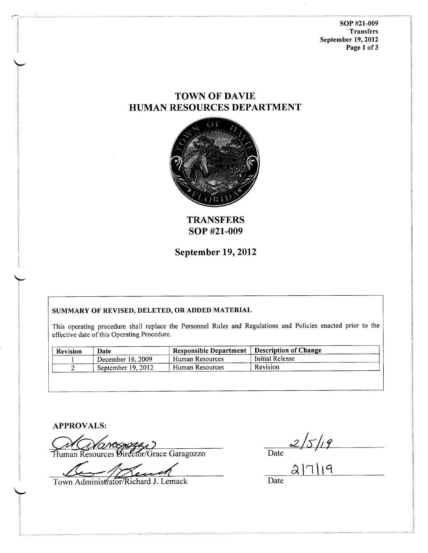soP #2r-009 **Transfers** September 19,2012 Page 1 of 3

# TOWN OF DAVIE HUMAN RESOURCES DEPARTMENT



**TRANSFERS** soP #21-009

September 19,2012

# SUMMARY OF REVISED, DELETED, OR ADDED MATERIAL

This operating procedure shall replace the Personnel Rules and Regulations and Policies enacted prior to the effective date of this Operating Procedure.

| <b>Revision</b> | Date               | <b>Responsible Department</b> | Description of Change |  |
|-----------------|--------------------|-------------------------------|-----------------------|--|
|                 | December 16, 2009  | Human Resources               | Initial Release       |  |
|                 | September 19, 2012 | Human Resources               | Revision              |  |

APPROVALS:

,ti

Human Resources Director/Grace Garagozzo

 $\frac{2}{5/19}$ <br>al 7 | 19

Town Administrator/Richard J. Lemack

Date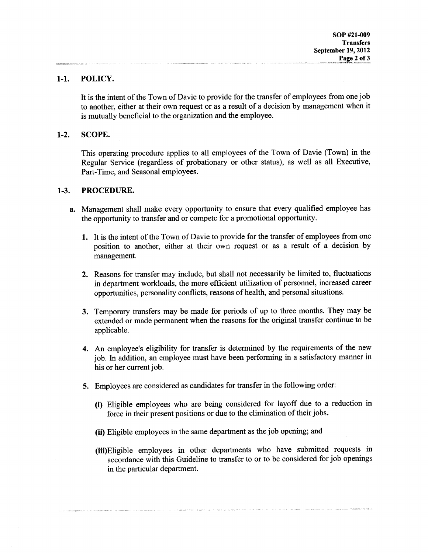## 1-1. POLICY.

It is the intent of the Town of Davie to provide for the transfer of employees from one job to another, either at their own request or as a result of a decision by management when it is mutually beneficial to the organization and the employee.

### l-2. SCOPE.

This operating procedure applies to all employees of the Town of Davie (Town) in the Regular Service (regardless of probationary or other status), as well as all Executive, Part-Time, and Seasonal employees.

#### 1-3. PROCEDURE.

- Management shall make every opportunity to ensure that every qualified employee has a.the opportunity to transfer and or compete for a promotional opportunity.
	- 1. It is the intent of the Town of Davie to provide for the transfer of employees from one position to another, either at their own request or as a result of a decision by management.
	- 2. Reasons for transfer may include, but shall not necessarily be limited to, fluctuations in department workloads, the more efficient utilization of personnel, increased career opportunities, personality conflicts, reasons of health, and personal situations.
	- 3. Temporary transfers may be made for periods of up to three months. They may be extended or made permanent when the reasons for the original transfer continue to be applicable.
	- 4. An employee's eligibility for transfer is determined by the requirements of the new job. In addition, an employee must have been performing in a satisfactory manner in his or her current job.
	- 5. Employees are considered as candidates for transfer in the following order:
		- (i) Eligible employees who are being considered for layoff due to a reduction in force in their present positions or due to the elimination of their jobs.
		- (ii) Eligible employees in the same department as the job opening; and
		- (iii)Eligible employees in other departments who have submitted requests in accordance with this Guideline to transfer to or to be considered for job openings in the particular department.